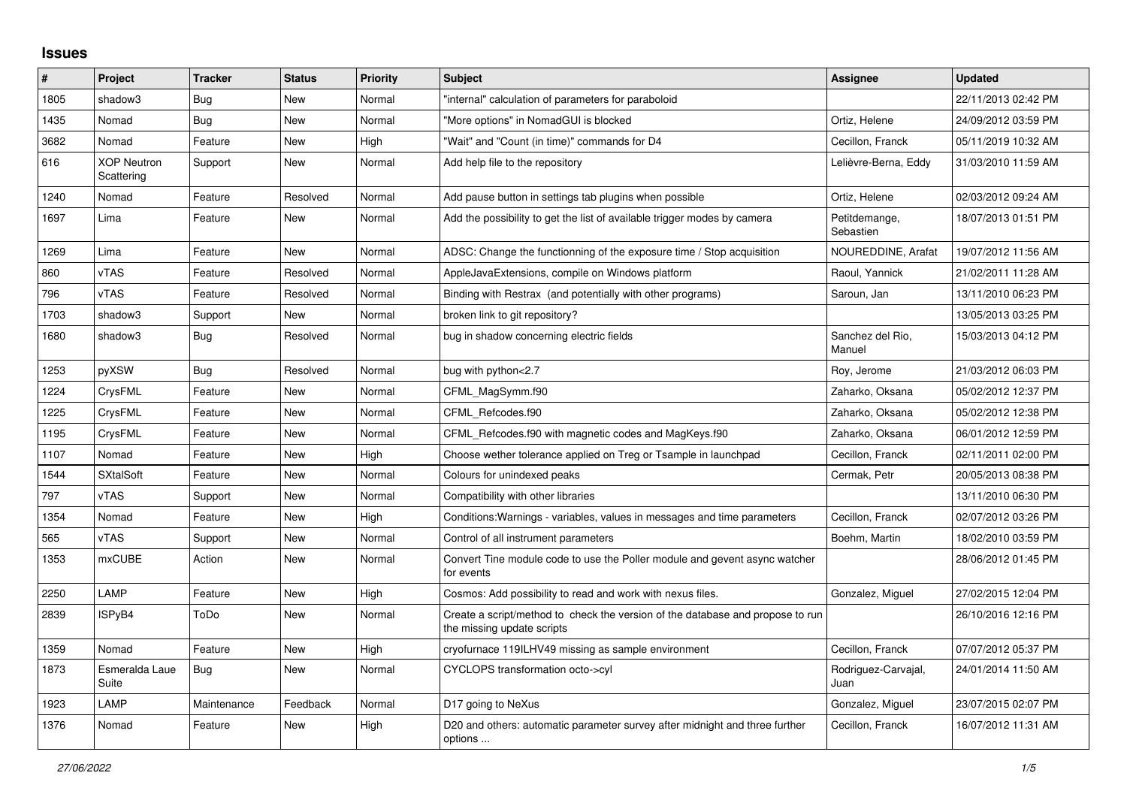## **Issues**

| #    | Project                          | <b>Tracker</b> | <b>Status</b> | <b>Priority</b> | <b>Subject</b>                                                                                               | Assignee                    | <b>Updated</b>      |
|------|----------------------------------|----------------|---------------|-----------------|--------------------------------------------------------------------------------------------------------------|-----------------------------|---------------------|
| 1805 | shadow3                          | <b>Bug</b>     | New           | Normal          | "internal" calculation of parameters for paraboloid                                                          |                             | 22/11/2013 02:42 PM |
| 1435 | Nomad                            | <b>Bug</b>     | <b>New</b>    | Normal          | "More options" in NomadGUI is blocked                                                                        | Ortiz, Helene               | 24/09/2012 03:59 PM |
| 3682 | Nomad                            | Feature        | New           | High            | "Wait" and "Count (in time)" commands for D4                                                                 | Cecillon, Franck            | 05/11/2019 10:32 AM |
| 616  | <b>XOP Neutron</b><br>Scattering | Support        | New           | Normal          | Add help file to the repository                                                                              | Lelièvre-Berna, Eddy        | 31/03/2010 11:59 AM |
| 1240 | Nomad                            | Feature        | Resolved      | Normal          | Add pause button in settings tab plugins when possible                                                       | Ortiz, Helene               | 02/03/2012 09:24 AM |
| 1697 | Lima                             | Feature        | New           | Normal          | Add the possibility to get the list of available trigger modes by camera                                     | Petitdemange,<br>Sebastien  | 18/07/2013 01:51 PM |
| 1269 | Lima                             | Feature        | New           | Normal          | ADSC: Change the functionning of the exposure time / Stop acquisition                                        | NOUREDDINE, Arafat          | 19/07/2012 11:56 AM |
| 860  | vTAS                             | Feature        | Resolved      | Normal          | AppleJavaExtensions, compile on Windows platform                                                             | Raoul, Yannick              | 21/02/2011 11:28 AM |
| 796  | vTAS                             | Feature        | Resolved      | Normal          | Binding with Restrax (and potentially with other programs)                                                   | Saroun, Jan                 | 13/11/2010 06:23 PM |
| 1703 | shadow3                          | Support        | New           | Normal          | broken link to git repository?                                                                               |                             | 13/05/2013 03:25 PM |
| 1680 | shadow3                          | <b>Bug</b>     | Resolved      | Normal          | bug in shadow concerning electric fields                                                                     | Sanchez del Rio,<br>Manuel  | 15/03/2013 04:12 PM |
| 1253 | pyXSW                            | Bug            | Resolved      | Normal          | bug with python<2.7                                                                                          | Roy, Jerome                 | 21/03/2012 06:03 PM |
| 1224 | CrysFML                          | Feature        | New           | Normal          | CFML MagSymm.f90                                                                                             | Zaharko, Oksana             | 05/02/2012 12:37 PM |
| 1225 | CrysFML                          | Feature        | New           | Normal          | CFML Refcodes.f90                                                                                            | Zaharko, Oksana             | 05/02/2012 12:38 PM |
| 1195 | CrysFML                          | Feature        | New           | Normal          | CFML Refcodes.f90 with magnetic codes and MagKeys.f90                                                        | Zaharko, Oksana             | 06/01/2012 12:59 PM |
| 1107 | Nomad                            | Feature        | New           | High            | Choose wether tolerance applied on Treg or Tsample in launchpad                                              | Cecillon, Franck            | 02/11/2011 02:00 PM |
| 1544 | <b>SXtalSoft</b>                 | Feature        | <b>New</b>    | Normal          | Colours for unindexed peaks                                                                                  | Cermak, Petr                | 20/05/2013 08:38 PM |
| 797  | vTAS                             | Support        | New           | Normal          | Compatibility with other libraries                                                                           |                             | 13/11/2010 06:30 PM |
| 1354 | Nomad                            | Feature        | New           | High            | Conditions: Warnings - variables, values in messages and time parameters                                     | Cecillon, Franck            | 02/07/2012 03:26 PM |
| 565  | vTAS                             | Support        | New           | Normal          | Control of all instrument parameters                                                                         | Boehm, Martin               | 18/02/2010 03:59 PM |
| 1353 | <b>mxCUBE</b>                    | Action         | New           | Normal          | Convert Tine module code to use the Poller module and gevent async watcher<br>for events                     |                             | 28/06/2012 01:45 PM |
| 2250 | LAMP                             | Feature        | New           | High            | Cosmos: Add possibility to read and work with nexus files.                                                   | Gonzalez, Miguel            | 27/02/2015 12:04 PM |
| 2839 | ISPyB4                           | ToDo           | New           | Normal          | Create a script/method to check the version of the database and propose to run<br>the missing update scripts |                             | 26/10/2016 12:16 PM |
| 1359 | Nomad                            | Feature        | New           | High            | cryofurnace 119ILHV49 missing as sample environment                                                          | Cecillon, Franck            | 07/07/2012 05:37 PM |
| 1873 | Esmeralda Laue<br>Suite          | <b>Bug</b>     | New           | Normal          | CYCLOPS transformation octo->cyl                                                                             | Rodriguez-Carvajal,<br>Juan | 24/01/2014 11:50 AM |
| 1923 | LAMP                             | Maintenance    | Feedback      | Normal          | D17 going to NeXus                                                                                           | Gonzalez, Miguel            | 23/07/2015 02:07 PM |
| 1376 | Nomad                            | Feature        | New           | High            | D20 and others: automatic parameter survey after midnight and three further<br>options                       | Cecillon, Franck            | 16/07/2012 11:31 AM |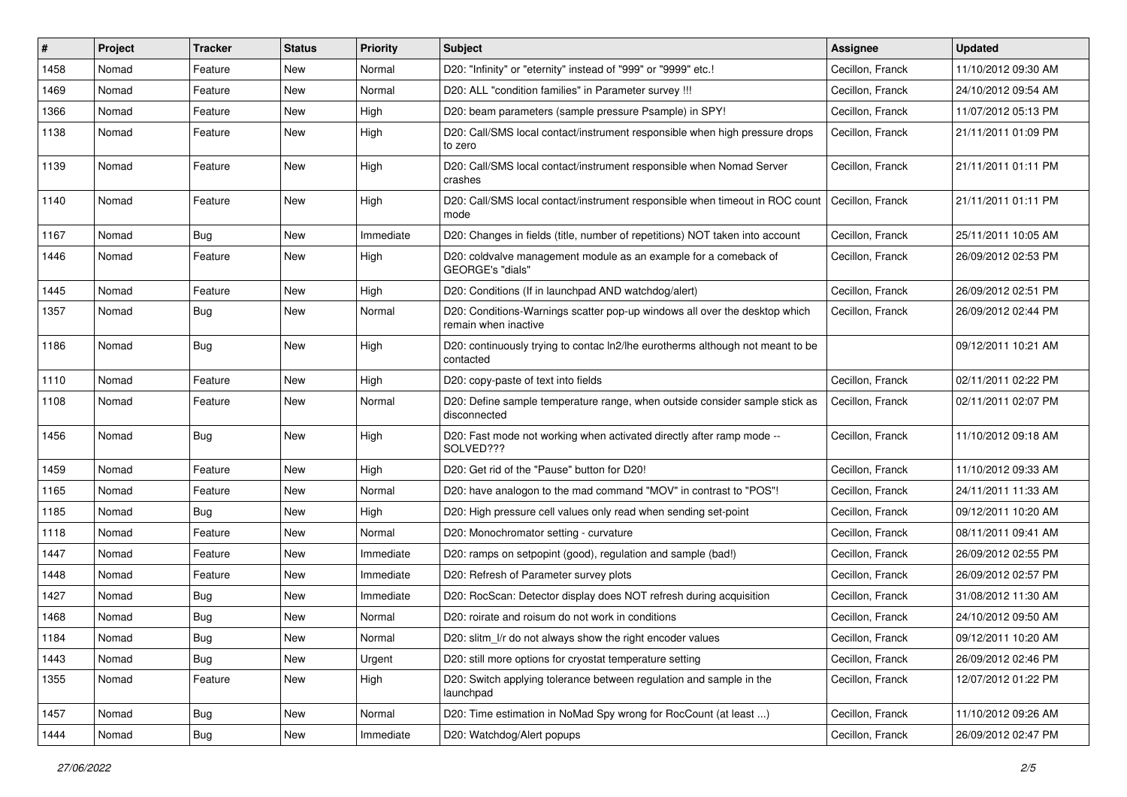| #    | Project | <b>Tracker</b> | <b>Status</b> | <b>Priority</b> | <b>Subject</b>                                                                                     | <b>Assignee</b>  | <b>Updated</b>      |
|------|---------|----------------|---------------|-----------------|----------------------------------------------------------------------------------------------------|------------------|---------------------|
| 1458 | Nomad   | Feature        | New           | Normal          | D20: "Infinity" or "eternity" instead of "999" or "9999" etc.!                                     | Cecillon, Franck | 11/10/2012 09:30 AM |
| 1469 | Nomad   | Feature        | New           | Normal          | D20: ALL "condition families" in Parameter survey !!!                                              | Cecillon, Franck | 24/10/2012 09:54 AM |
| 1366 | Nomad   | Feature        | New           | High            | D20: beam parameters (sample pressure Psample) in SPY!                                             | Cecillon, Franck | 11/07/2012 05:13 PM |
| 1138 | Nomad   | Feature        | New           | High            | D20: Call/SMS local contact/instrument responsible when high pressure drops<br>to zero             | Cecillon, Franck | 21/11/2011 01:09 PM |
| 1139 | Nomad   | Feature        | New           | High            | D20: Call/SMS local contact/instrument responsible when Nomad Server<br>crashes                    | Cecillon, Franck | 21/11/2011 01:11 PM |
| 1140 | Nomad   | Feature        | New           | High            | D20: Call/SMS local contact/instrument responsible when timeout in ROC count<br>mode               | Cecillon, Franck | 21/11/2011 01:11 PM |
| 1167 | Nomad   | <b>Bug</b>     | <b>New</b>    | Immediate       | D20: Changes in fields (title, number of repetitions) NOT taken into account                       | Cecillon, Franck | 25/11/2011 10:05 AM |
| 1446 | Nomad   | Feature        | New           | High            | D20: coldvalve management module as an example for a comeback of<br>GEORGE's "dials"               | Cecillon, Franck | 26/09/2012 02:53 PM |
| 1445 | Nomad   | Feature        | New           | High            | D20: Conditions (If in launchpad AND watchdog/alert)                                               | Cecillon, Franck | 26/09/2012 02:51 PM |
| 1357 | Nomad   | <b>Bug</b>     | New           | Normal          | D20: Conditions-Warnings scatter pop-up windows all over the desktop which<br>remain when inactive | Cecillon, Franck | 26/09/2012 02:44 PM |
| 1186 | Nomad   | <b>Bug</b>     | New           | High            | D20: continuously trying to contac ln2/lhe eurotherms although not meant to be<br>contacted        |                  | 09/12/2011 10:21 AM |
| 1110 | Nomad   | Feature        | <b>New</b>    | High            | D20: copy-paste of text into fields                                                                | Cecillon, Franck | 02/11/2011 02:22 PM |
| 1108 | Nomad   | Feature        | New           | Normal          | D20: Define sample temperature range, when outside consider sample stick as<br>disconnected        | Cecillon, Franck | 02/11/2011 02:07 PM |
| 1456 | Nomad   | <b>Bug</b>     | New           | High            | D20: Fast mode not working when activated directly after ramp mode --<br>SOLVED???                 | Cecillon, Franck | 11/10/2012 09:18 AM |
| 1459 | Nomad   | Feature        | New           | High            | D20: Get rid of the "Pause" button for D20!                                                        | Cecillon, Franck | 11/10/2012 09:33 AM |
| 1165 | Nomad   | Feature        | New           | Normal          | D20: have analogon to the mad command "MOV" in contrast to "POS"!                                  | Cecillon, Franck | 24/11/2011 11:33 AM |
| 1185 | Nomad   | Bug            | New           | High            | D20: High pressure cell values only read when sending set-point                                    | Cecillon, Franck | 09/12/2011 10:20 AM |
| 1118 | Nomad   | Feature        | New           | Normal          | D20: Monochromator setting - curvature                                                             | Cecillon, Franck | 08/11/2011 09:41 AM |
| 1447 | Nomad   | Feature        | New           | Immediate       | D20: ramps on setpopint (good), regulation and sample (bad!)                                       | Cecillon, Franck | 26/09/2012 02:55 PM |
| 1448 | Nomad   | Feature        | New           | Immediate       | D20: Refresh of Parameter survey plots                                                             | Cecillon, Franck | 26/09/2012 02:57 PM |
| 1427 | Nomad   | <b>Bug</b>     | New           | Immediate       | D20: RocScan: Detector display does NOT refresh during acquisition                                 | Cecillon, Franck | 31/08/2012 11:30 AM |
| 1468 | Nomad   | <b>Bug</b>     | New           | Normal          | D20: roirate and roisum do not work in conditions                                                  | Cecillon, Franck | 24/10/2012 09:50 AM |
| 1184 | Nomad   | <b>Bug</b>     | New           | Normal          | D20: slitm_l/r do not always show the right encoder values                                         | Cecillon, Franck | 09/12/2011 10:20 AM |
| 1443 | Nomad   | <b>Bug</b>     | New           | Urgent          | D20: still more options for cryostat temperature setting                                           | Cecillon, Franck | 26/09/2012 02:46 PM |
| 1355 | Nomad   | Feature        | New           | High            | D20: Switch applying tolerance between regulation and sample in the<br>launchpad                   | Cecillon, Franck | 12/07/2012 01:22 PM |
| 1457 | Nomad   | <b>Bug</b>     | New           | Normal          | D20: Time estimation in NoMad Spy wrong for RocCount (at least )                                   | Cecillon, Franck | 11/10/2012 09:26 AM |
| 1444 | Nomad   | Bug            | New           | Immediate       | D20: Watchdog/Alert popups                                                                         | Cecillon, Franck | 26/09/2012 02:47 PM |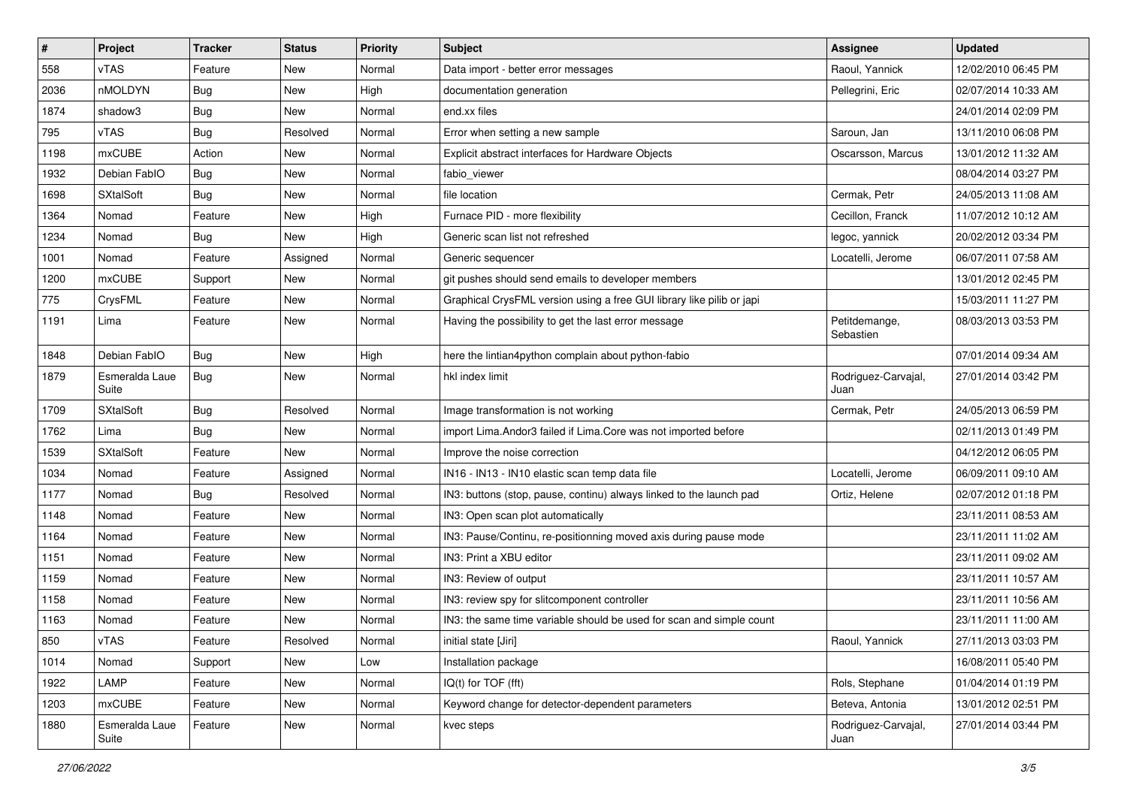| $\vert$ # | Project                 | <b>Tracker</b> | <b>Status</b> | <b>Priority</b> | <b>Subject</b>                                                        | <b>Assignee</b>             | <b>Updated</b>      |
|-----------|-------------------------|----------------|---------------|-----------------|-----------------------------------------------------------------------|-----------------------------|---------------------|
| 558       | vTAS                    | Feature        | New           | Normal          | Data import - better error messages                                   | Raoul, Yannick              | 12/02/2010 06:45 PM |
| 2036      | nMOLDYN                 | <b>Bug</b>     | New           | High            | documentation generation                                              | Pellegrini, Eric            | 02/07/2014 10:33 AM |
| 1874      | shadow3                 | Bug            | New           | Normal          | end.xx files                                                          |                             | 24/01/2014 02:09 PM |
| 795       | vTAS                    | Bug            | Resolved      | Normal          | Error when setting a new sample                                       | Saroun, Jan                 | 13/11/2010 06:08 PM |
| 1198      | <b>mxCUBE</b>           | Action         | New           | Normal          | Explicit abstract interfaces for Hardware Objects                     | Oscarsson, Marcus           | 13/01/2012 11:32 AM |
| 1932      | Debian FablO            | <b>Bug</b>     | New           | Normal          | fabio viewer                                                          |                             | 08/04/2014 03:27 PM |
| 1698      | <b>SXtalSoft</b>        | <b>Bug</b>     | New           | Normal          | file location                                                         | Cermak, Petr                | 24/05/2013 11:08 AM |
| 1364      | Nomad                   | Feature        | New           | High            | Furnace PID - more flexibility                                        | Cecillon, Franck            | 11/07/2012 10:12 AM |
| 1234      | Nomad                   | <b>Bug</b>     | New           | High            | Generic scan list not refreshed                                       | legoc, yannick              | 20/02/2012 03:34 PM |
| 1001      | Nomad                   | Feature        | Assigned      | Normal          | Generic sequencer                                                     | Locatelli, Jerome           | 06/07/2011 07:58 AM |
| 1200      | <b>mxCUBE</b>           | Support        | New           | Normal          | git pushes should send emails to developer members                    |                             | 13/01/2012 02:45 PM |
| 775       | CrysFML                 | Feature        | New           | Normal          | Graphical CrysFML version using a free GUI library like pilib or japi |                             | 15/03/2011 11:27 PM |
| 1191      | Lima                    | Feature        | New           | Normal          | Having the possibility to get the last error message                  | Petitdemange,<br>Sebastien  | 08/03/2013 03:53 PM |
| 1848      | Debian FablO            | <b>Bug</b>     | <b>New</b>    | High            | here the lintian4python complain about python-fabio                   |                             | 07/01/2014 09:34 AM |
| 1879      | Esmeralda Laue<br>Suite | Bug            | New           | Normal          | hkl index limit                                                       | Rodriguez-Carvajal,<br>Juan | 27/01/2014 03:42 PM |
| 1709      | <b>SXtalSoft</b>        | <b>Bug</b>     | Resolved      | Normal          | Image transformation is not working                                   | Cermak, Petr                | 24/05/2013 06:59 PM |
| 1762      | Lima                    | Bug            | New           | Normal          | import Lima. Andor3 failed if Lima. Core was not imported before      |                             | 02/11/2013 01:49 PM |
| 1539      | <b>SXtalSoft</b>        | Feature        | New           | Normal          | Improve the noise correction                                          |                             | 04/12/2012 06:05 PM |
| 1034      | Nomad                   | Feature        | Assigned      | Normal          | IN16 - IN13 - IN10 elastic scan temp data file                        | Locatelli, Jerome           | 06/09/2011 09:10 AM |
| 1177      | Nomad                   | Bug            | Resolved      | Normal          | IN3: buttons (stop, pause, continu) always linked to the launch pad   | Ortiz, Helene               | 02/07/2012 01:18 PM |
| 1148      | Nomad                   | Feature        | New           | Normal          | IN3: Open scan plot automatically                                     |                             | 23/11/2011 08:53 AM |
| 1164      | Nomad                   | Feature        | New           | Normal          | IN3: Pause/Continu, re-positionning moved axis during pause mode      |                             | 23/11/2011 11:02 AM |
| 1151      | Nomad                   | Feature        | New           | Normal          | IN3: Print a XBU editor                                               |                             | 23/11/2011 09:02 AM |
| 1159      | Nomad                   | Feature        | New           | Normal          | IN3: Review of output                                                 |                             | 23/11/2011 10:57 AM |
| 1158      | Nomad                   | Feature        | New           | Normal          | IN3: review spy for slitcomponent controller                          |                             | 23/11/2011 10:56 AM |
| 1163      | Nomad                   | Feature        | New           | Normal          | IN3: the same time variable should be used for scan and simple count  |                             | 23/11/2011 11:00 AM |
| 850       | vTAS                    | Feature        | Resolved      | Normal          | initial state [Jiri]                                                  | Raoul, Yannick              | 27/11/2013 03:03 PM |
| 1014      | Nomad                   | Support        | New           | Low             | Installation package                                                  |                             | 16/08/2011 05:40 PM |
| 1922      | LAMP                    | Feature        | New           | Normal          | IQ(t) for TOF (fft)                                                   | Rols, Stephane              | 01/04/2014 01:19 PM |
| 1203      | mxCUBE                  | Feature        | New           | Normal          | Keyword change for detector-dependent parameters                      | Beteva, Antonia             | 13/01/2012 02:51 PM |
| 1880      | Esmeralda Laue<br>Suite | Feature        | New           | Normal          | kvec steps                                                            | Rodriguez-Carvajal,<br>Juan | 27/01/2014 03:44 PM |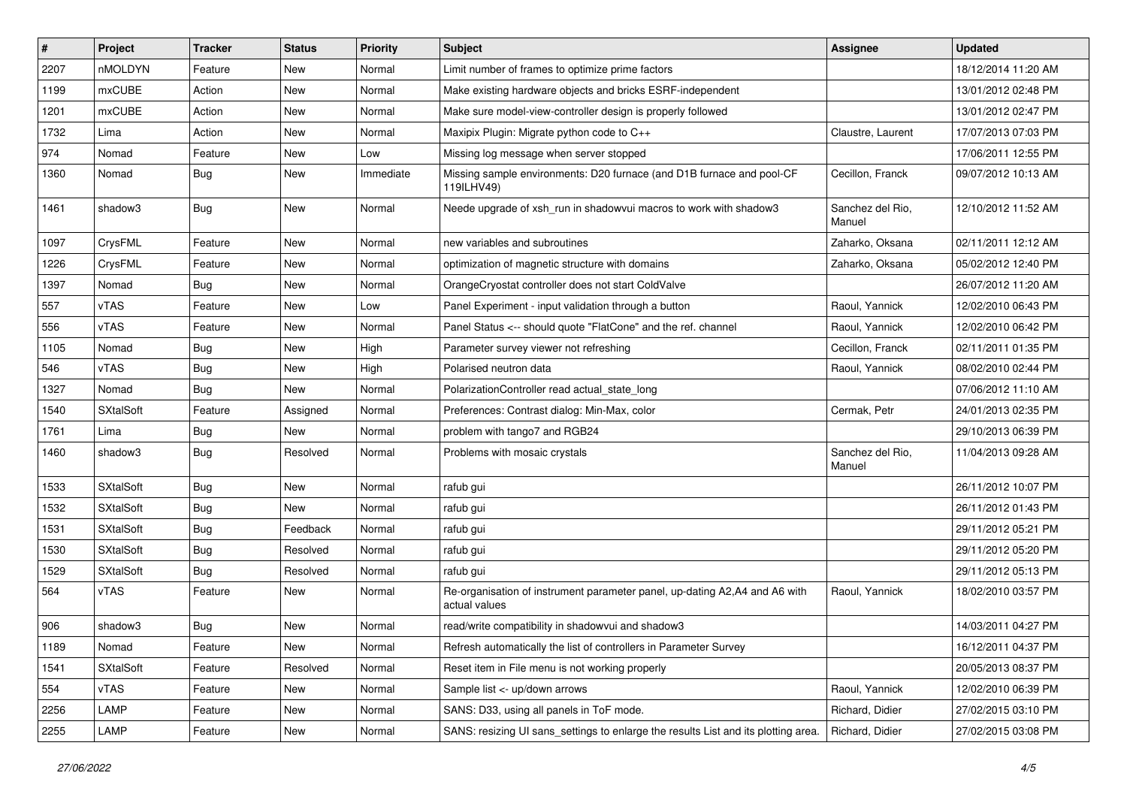| #    | Project          | <b>Tracker</b> | <b>Status</b> | <b>Priority</b> | <b>Subject</b>                                                                               | Assignee                   | <b>Updated</b>      |
|------|------------------|----------------|---------------|-----------------|----------------------------------------------------------------------------------------------|----------------------------|---------------------|
| 2207 | nMOLDYN          | Feature        | New           | Normal          | Limit number of frames to optimize prime factors                                             |                            | 18/12/2014 11:20 AM |
| 1199 | mxCUBE           | Action         | New           | Normal          | Make existing hardware objects and bricks ESRF-independent                                   |                            | 13/01/2012 02:48 PM |
| 1201 | mxCUBE           | Action         | New           | Normal          | Make sure model-view-controller design is properly followed                                  |                            | 13/01/2012 02:47 PM |
| 1732 | Lima             | Action         | New           | Normal          | Maxipix Plugin: Migrate python code to C++                                                   | Claustre, Laurent          | 17/07/2013 07:03 PM |
| 974  | Nomad            | Feature        | New           | Low             | Missing log message when server stopped                                                      |                            | 17/06/2011 12:55 PM |
| 1360 | Nomad            | <b>Bug</b>     | New           | Immediate       | Missing sample environments: D20 furnace (and D1B furnace and pool-CF<br>119ILHV49)          | Cecillon, Franck           | 09/07/2012 10:13 AM |
| 1461 | shadow3          | <b>Bug</b>     | New           | Normal          | Neede upgrade of xsh run in shadowvui macros to work with shadow3                            | Sanchez del Rio,<br>Manuel | 12/10/2012 11:52 AM |
| 1097 | CrysFML          | Feature        | New           | Normal          | new variables and subroutines                                                                | Zaharko, Oksana            | 02/11/2011 12:12 AM |
| 1226 | CrysFML          | Feature        | New           | Normal          | optimization of magnetic structure with domains                                              | Zaharko, Oksana            | 05/02/2012 12:40 PM |
| 1397 | Nomad            | <b>Bug</b>     | New           | Normal          | OrangeCryostat controller does not start ColdValve                                           |                            | 26/07/2012 11:20 AM |
| 557  | vTAS             | Feature        | New           | Low             | Panel Experiment - input validation through a button                                         | Raoul, Yannick             | 12/02/2010 06:43 PM |
| 556  | vTAS             | Feature        | New           | Normal          | Panel Status <-- should quote "FlatCone" and the ref. channel                                | Raoul, Yannick             | 12/02/2010 06:42 PM |
| 1105 | Nomad            | <b>Bug</b>     | <b>New</b>    | High            | Parameter survey viewer not refreshing                                                       | Cecillon, Franck           | 02/11/2011 01:35 PM |
| 546  | <b>vTAS</b>      | <b>Bug</b>     | New           | High            | Polarised neutron data                                                                       | Raoul, Yannick             | 08/02/2010 02:44 PM |
| 1327 | Nomad            | <b>Bug</b>     | New           | Normal          | PolarizationController read actual_state_long                                                |                            | 07/06/2012 11:10 AM |
| 1540 | <b>SXtalSoft</b> | Feature        | Assigned      | Normal          | Preferences: Contrast dialog: Min-Max, color                                                 | Cermak. Petr               | 24/01/2013 02:35 PM |
| 1761 | Lima             | <b>Bug</b>     | New           | Normal          | problem with tango7 and RGB24                                                                |                            | 29/10/2013 06:39 PM |
| 1460 | shadow3          | <b>Bug</b>     | Resolved      | Normal          | Problems with mosaic crystals                                                                | Sanchez del Rio,<br>Manuel | 11/04/2013 09:28 AM |
| 1533 | <b>SXtalSoft</b> | <b>Bug</b>     | New           | Normal          | rafub gui                                                                                    |                            | 26/11/2012 10:07 PM |
| 1532 | <b>SXtalSoft</b> | Bug            | New           | Normal          | rafub gui                                                                                    |                            | 26/11/2012 01:43 PM |
| 1531 | <b>SXtalSoft</b> | <b>Bug</b>     | Feedback      | Normal          | rafub gui                                                                                    |                            | 29/11/2012 05:21 PM |
| 1530 | <b>SXtalSoft</b> | <b>Bug</b>     | Resolved      | Normal          | rafub gui                                                                                    |                            | 29/11/2012 05:20 PM |
| 1529 | <b>SXtalSoft</b> | <b>Bug</b>     | Resolved      | Normal          | rafub gui                                                                                    |                            | 29/11/2012 05:13 PM |
| 564  | vTAS             | Feature        | New           | Normal          | Re-organisation of instrument parameter panel, up-dating A2, A4 and A6 with<br>actual values | Raoul, Yannick             | 18/02/2010 03:57 PM |
| 906  | shadow3          | <b>Bug</b>     | New           | Normal          | read/write compatibility in shadowvui and shadow3                                            |                            | 14/03/2011 04:27 PM |
| 1189 | Nomad            | Feature        | New           | Normal          | Refresh automatically the list of controllers in Parameter Survey                            |                            | 16/12/2011 04:37 PM |
| 1541 | <b>SXtalSoft</b> | Feature        | Resolved      | Normal          | Reset item in File menu is not working properly                                              |                            | 20/05/2013 08:37 PM |
| 554  | vTAS             | Feature        | New           | Normal          | Sample list <- up/down arrows                                                                | Raoul, Yannick             | 12/02/2010 06:39 PM |
| 2256 | LAMP             | Feature        | New           | Normal          | SANS: D33, using all panels in ToF mode.                                                     | Richard, Didier            | 27/02/2015 03:10 PM |
| 2255 | LAMP             | Feature        | New           | Normal          | SANS: resizing UI sans_settings to enlarge the results List and its plotting area.           | Richard, Didier            | 27/02/2015 03:08 PM |